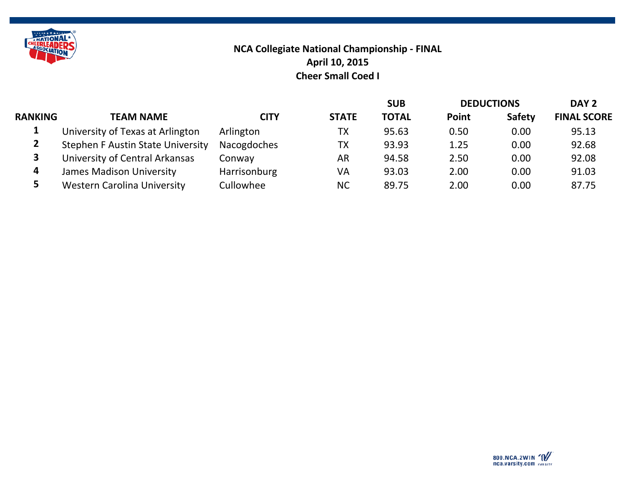

## **NCA Collegiate National Championship - FINAL Cheer Small Coed I April 10, 2015**

|                |                                          |              |              | <b>SUB</b>   | <b>DEDUCTIONS</b> |               | DAY <sub>2</sub>   |
|----------------|------------------------------------------|--------------|--------------|--------------|-------------------|---------------|--------------------|
| <b>RANKING</b> | <b>TEAM NAME</b>                         | CITY         | <b>STATE</b> | <b>TOTAL</b> | <b>Point</b>      | <b>Safety</b> | <b>FINAL SCORE</b> |
|                | University of Texas at Arlington         | Arlington    | TX           | 95.63        | 0.50              | 0.00          | 95.13              |
|                | <b>Stephen F Austin State University</b> | Nacogdoches  | ТX           | 93.93        | 1.25              | 0.00          | 92.68              |
|                | University of Central Arkansas           | Conway       | AR           | 94.58        | 2.50              | 0.00          | 92.08              |
| 4              | <b>James Madison University</b>          | Harrisonburg | VA           | 93.03        | 2.00              | 0.00          | 91.03              |
|                | <b>Western Carolina University</b>       | Cullowhee    | <b>NC</b>    | 89.75        | 2.00              | 0.00          | 87.75              |